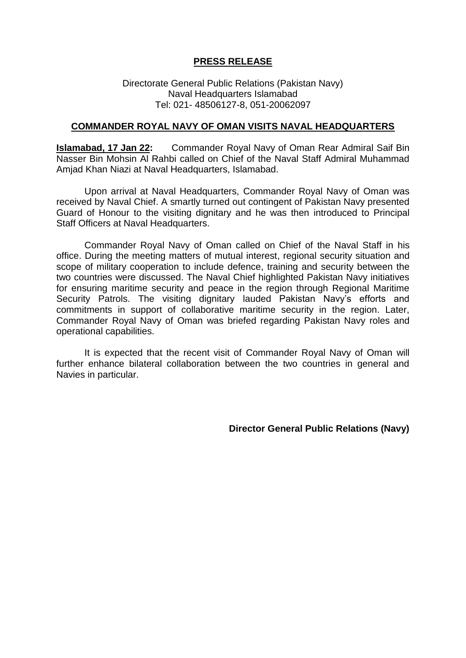## **PRESS RELEASE**

Directorate General Public Relations (Pakistan Navy) Naval Headquarters Islamabad Tel: 021- 48506127-8, 051-20062097

## **COMMANDER ROYAL NAVY OF OMAN VISITS NAVAL HEADQUARTERS**

**Islamabad, 17 Jan 22:** Commander Royal Navy of Oman Rear Admiral Saif Bin Nasser Bin Mohsin Al Rahbi called on Chief of the Naval Staff Admiral Muhammad Amjad Khan Niazi at Naval Headquarters, Islamabad.

Upon arrival at Naval Headquarters, Commander Royal Navy of Oman was received by Naval Chief. A smartly turned out contingent of Pakistan Navy presented Guard of Honour to the visiting dignitary and he was then introduced to Principal Staff Officers at Naval Headquarters.

Commander Royal Navy of Oman called on Chief of the Naval Staff in his office. During the meeting matters of mutual interest, regional security situation and scope of military cooperation to include defence, training and security between the two countries were discussed. The Naval Chief highlighted Pakistan Navy initiatives for ensuring maritime security and peace in the region through Regional Maritime Security Patrols. The visiting dignitary lauded Pakistan Navy's efforts and commitments in support of collaborative maritime security in the region. Later, Commander Royal Navy of Oman was briefed regarding Pakistan Navy roles and operational capabilities.

It is expected that the recent visit of Commander Royal Navy of Oman will further enhance bilateral collaboration between the two countries in general and Navies in particular.

**Director General Public Relations (Navy)**